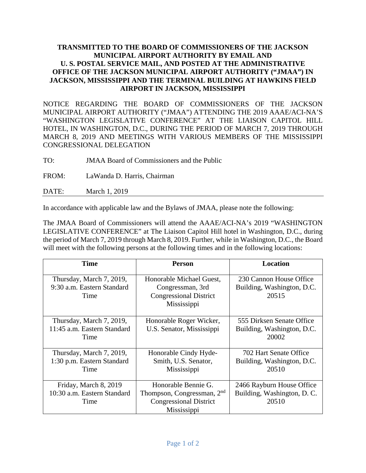## **TRANSMITTED TO THE BOARD OF COMMISSIONERS OF THE JACKSON MUNICIPAL AIRPORT AUTHORITY BY EMAIL AND U. S. POSTAL SERVICE MAIL, AND POSTED AT THE ADMINISTRATIVE OFFICE OF THE JACKSON MUNICIPAL AIRPORT AUTHORITY ("JMAA") IN JACKSON, MISSISSIPPI AND THE TERMINAL BUILDING AT HAWKINS FIELD AIRPORT IN JACKSON, MISSISSIPPI**

NOTICE REGARDING THE BOARD OF COMMISSIONERS OF THE JACKSON MUNICIPAL AIRPORT AUTHORITY ("JMAA") ATTENDING THE 2019 AAAE/ACI-NA'S "WASHINGTON LEGISLATIVE CONFERENCE" AT THE LIAISON CAPITOL HILL HOTEL, IN WASHINGTON, D.C., DURING THE PERIOD OF MARCH 7, 2019 THROUGH MARCH 8, 2019 AND MEETINGS WITH VARIOUS MEMBERS OF THE MISSISSIPPI CONGRESSIONAL DELEGATION

TO: JMAA Board of Commissioners and the Public

FROM: LaWanda D. Harris, Chairman

DATE: March 1, 2019

In accordance with applicable law and the Bylaws of JMAA, please note the following:

The JMAA Board of Commissioners will attend the AAAE/ACI-NA's 2019 "WASHINGTON LEGISLATIVE CONFERENCE" at The Liaison Capitol Hill hotel in Washington, D.C., during the period of March 7, 2019 through March 8, 2019. Further, while in Washington, D.C., the Board will meet with the following persons at the following times and in the following locations:

| <b>Time</b>                                                     | <b>Person</b>                                                                                                 | Location                                                          |
|-----------------------------------------------------------------|---------------------------------------------------------------------------------------------------------------|-------------------------------------------------------------------|
| Thursday, March 7, 2019,<br>9:30 a.m. Eastern Standard<br>Time  | Honorable Michael Guest,<br>Congressman, 3rd<br><b>Congressional District</b><br>Mississippi                  | 230 Cannon House Office<br>Building, Washington, D.C.<br>20515    |
| Thursday, March 7, 2019,<br>11:45 a.m. Eastern Standard<br>Time | Honorable Roger Wicker,<br>U.S. Senator, Mississippi                                                          | 555 Dirksen Senate Office<br>Building, Washington, D.C.<br>20002  |
| Thursday, March 7, 2019,<br>1:30 p.m. Eastern Standard<br>Time  | Honorable Cindy Hyde-<br>Smith, U.S. Senator,<br>Mississippi                                                  | 702 Hart Senate Office<br>Building, Washington, D.C.<br>20510     |
| Friday, March 8, 2019<br>10:30 a.m. Eastern Standard<br>Time    | Honorable Bennie G.<br>Thompson, Congressman, 2 <sup>nd</sup><br><b>Congressional District</b><br>Mississippi | 2466 Rayburn House Office<br>Building, Washington, D. C.<br>20510 |